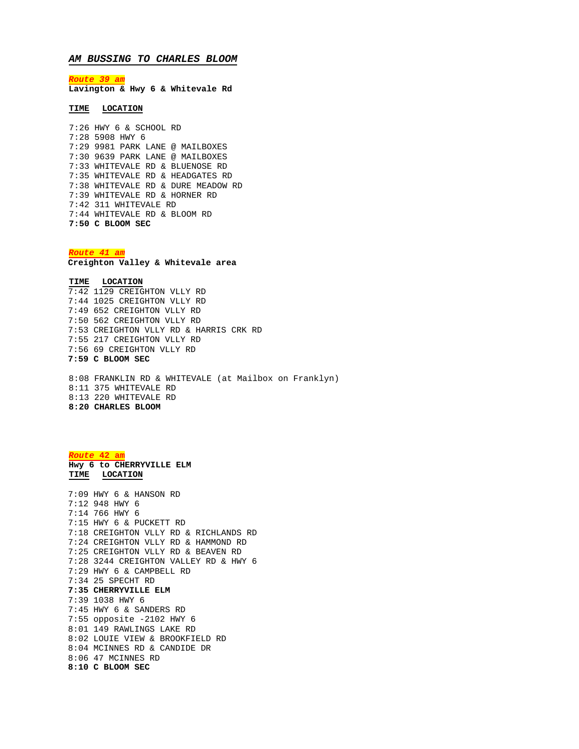## *AM BUSSING TO CHARLES BLOOM*

*Route 39 am* **Lavington & Hwy 6 & Whitevale Rd**

## **TIME LOCATION**

7:26 HWY 6 & SCHOOL RD 7:28 5908 HWY 6 7:29 9981 PARK LANE @ MAILBOXES 7:30 9639 PARK LANE @ MAILBOXES 7:33 WHITEVALE RD & BLUENOSE RD 7:35 WHITEVALE RD & HEADGATES RD 7:38 WHITEVALE RD & DURE MEADOW RD 7:39 WHITEVALE RD & HORNER RD 7:42 311 WHITEVALE RD 7:44 WHITEVALE RD & BLOOM RD **7:50 C BLOOM SEC**

*Route 41 am*

**Creighton Valley & Whitevale area**

**TIME LOCATION** 7:42 1129 CREIGHTON VLLY RD 7:44 1025 CREIGHTON VLLY RD 7:49 652 CREIGHTON VLLY RD 7:50 562 CREIGHTON VLLY RD 7:53 CREIGHTON VLLY RD & HARRIS CRK RD 7:55 217 CREIGHTON VLLY RD 7:56 69 CREIGHTON VLLY RD **7:59 C BLOOM SEC**

8:08 FRANKLIN RD & WHITEVALE (at Mailbox on Franklyn) 8:11 375 WHITEVALE RD 8:13 220 WHITEVALE RD **8:20 CHARLES BLOOM**

*Route* **42 am Hwy 6 to CHERRYVILLE ELM TIME LOCATION** 7:09 HWY 6 & HANSON RD 7:12 948 HWY 6 7:14 766 HWY 6 7:15 HWY 6 & PUCKETT RD 7:18 CREIGHTON VLLY RD & RICHLANDS RD 7:24 CREIGHTON VLLY RD & HAMMOND RD 7:25 CREIGHTON VLLY RD & BEAVEN RD 7:28 3244 CREIGHTON VALLEY RD & HWY 6 7:29 HWY 6 & CAMPBELL RD 7:34 25 SPECHT RD **7:35 CHERRYVILLE ELM** 7:39 1038 HWY 6 7:45 HWY 6 & SANDERS RD 7:55 opposite -2102 HWY 6 8:01 149 RAWLINGS LAKE RD 8:02 LOUIE VIEW & BROOKFIELD RD 8:04 MCINNES RD & CANDIDE DR 8:06 47 MCINNES RD **8:10 C BLOOM SEC**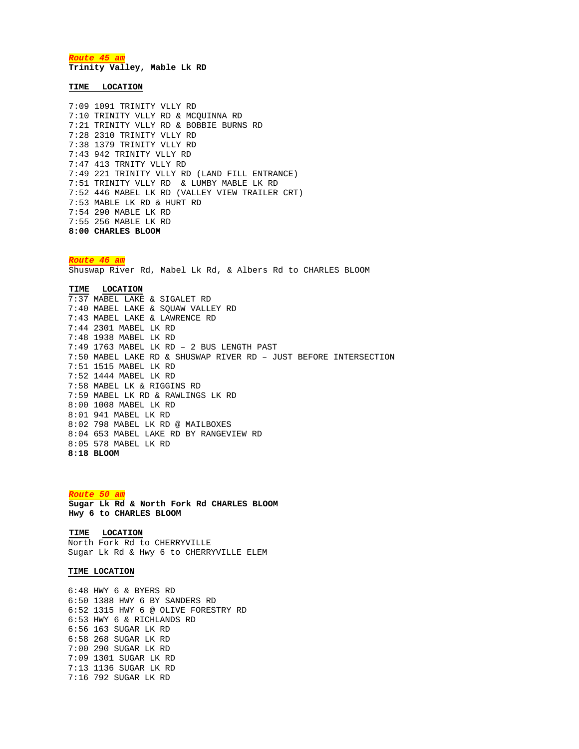*Route 45 am* **Trinity Valley, Mable Lk RD**

**TIME LOCATION**

7:09 1091 TRINITY VLLY RD 7:10 TRINITY VLLY RD & MCQUINNA RD 7:21 TRINITY VLLY RD & BOBBIE BURNS RD 7:28 2310 TRINITY VLLY RD 7:38 1379 TRINITY VLLY RD 7:43 942 TRINITY VLLY RD 7:47 413 TRNITY VLLY RD 7:49 221 TRINITY VLLY RD (LAND FILL ENTRANCE) 7:51 TRINITY VLLY RD & LUMBY MABLE LK RD 7:52 446 MABEL LK RD (VALLEY VIEW TRAILER CRT) 7:53 MABLE LK RD & HURT RD 7:54 290 MABLE LK RD 7:55 256 MABLE LK RD **8:00 CHARLES BLOOM**

*Route 46 am* Shuswap River Rd, Mabel Lk Rd, & Albers Rd to CHARLES BLOOM

**TIME LOCATION** 7:37 MABEL LAKE & SIGALET RD 7:40 MABEL LAKE & SQUAW VALLEY RD 7:43 MABEL LAKE & LAWRENCE RD 7:44 2301 MABEL LK RD 7:48 1938 MABEL LK RD 7:49 1763 MABEL LK RD – 2 BUS LENGTH PAST 7:50 MABEL LAKE RD & SHUSWAP RIVER RD – JUST BEFORE INTERSECTION 7:51 1515 MABEL LK RD 7:52 1444 MABEL LK RD 7:58 MABEL LK & RIGGINS RD 7:59 MABEL LK RD & RAWLINGS LK RD 8:00 1008 MABEL LK RD 8:01 941 MABEL LK RD 8:02 798 MABEL LK RD @ MAILBOXES 8:04 653 MABEL LAKE RD BY RANGEVIEW RD 8:05 578 MABEL LK RD **8:18 BLOOM**

*Route 50 am* **Sugar Lk Rd & North Fork Rd CHARLES BLOOM Hwy 6 to CHARLES BLOOM** 

**TIME LOCATION** North Fork Rd to CHERRYVILLE Sugar Lk Rd & Hwy 6 to CHERRYVILLE ELEM

## **TIME LOCATION**

6:48 HWY 6 & BYERS RD 6:50 1388 HWY 6 BY SANDERS RD 6:52 1315 HWY 6 @ OLIVE FORESTRY RD 6:53 HWY 6 & RICHLANDS RD 6:56 163 SUGAR LK RD 6:58 268 SUGAR LK RD 7:00 290 SUGAR LK RD 7:09 1301 SUGAR LK RD 7:13 1136 SUGAR LK RD 7:16 792 SUGAR LK RD